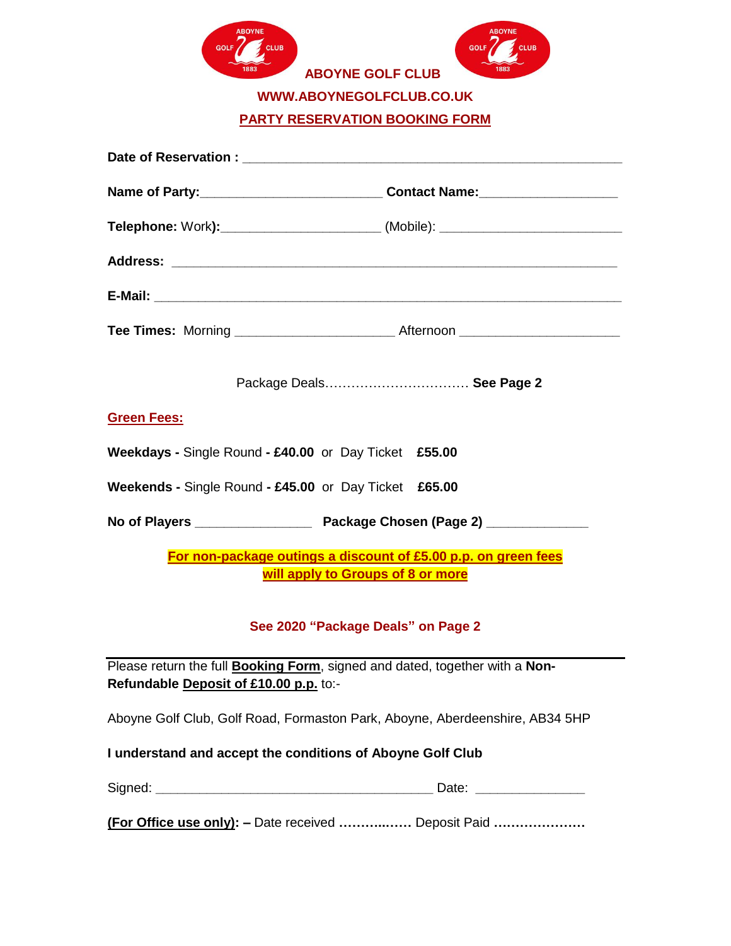



**ABOYNE GOLF CLUB** 

**WWW.ABOYNEGOLFCLUB.CO.UK** 

**PARTY RESERVATION BOOKING FORM**

|                                                                                                     | Package Deals See Page 2                                                            |  |  |
|-----------------------------------------------------------------------------------------------------|-------------------------------------------------------------------------------------|--|--|
| <b>Green Fees:</b>                                                                                  |                                                                                     |  |  |
| Weekdays - Single Round - £40.00 or Day Ticket £55.00                                               |                                                                                     |  |  |
| Weekends - Single Round - £45.00 or Day Ticket £65.00                                               |                                                                                     |  |  |
|                                                                                                     |                                                                                     |  |  |
| For non-package outings a discount of £5.00 p.p. on green fees<br>will apply to Groups of 8 or more |                                                                                     |  |  |
| See 2020 "Package Deals" on Page 2                                                                  |                                                                                     |  |  |
| Refundable Deposit of £10.00 p.p. to:-                                                              | Please return the full <b>Booking Form</b> , signed and dated, together with a Non- |  |  |
|                                                                                                     | Aboyne Golf Club, Golf Road, Formaston Park, Aboyne, Aberdeenshire, AB34 5HP        |  |  |
| I understand and accept the conditions of Aboyne Golf Club                                          |                                                                                     |  |  |
|                                                                                                     |                                                                                     |  |  |
|                                                                                                     |                                                                                     |  |  |

**(For Office use only): –** Date received **………..……** Deposit Paid **…………………**